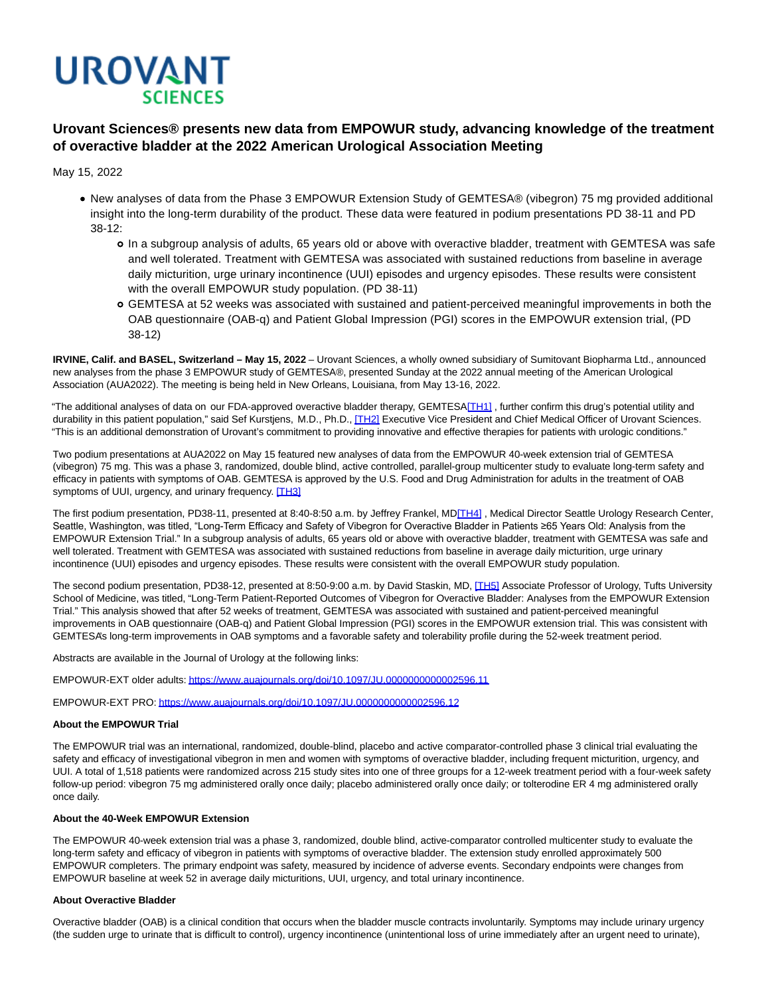

# **Urovant Sciences® presents new data from EMPOWUR study, advancing knowledge of the treatment of overactive bladder at the 2022 American Urological Association Meeting**

May 15, 2022

- New analyses of data from the Phase 3 EMPOWUR Extension Study of GEMTESA® (vibegron) 75 mg provided additional insight into the long-term durability of the product. These data were featured in podium presentations PD 38-11 and PD 38-12:
	- o In a subgroup analysis of adults, 65 years old or above with overactive bladder, treatment with GEMTESA was safe and well tolerated. Treatment with GEMTESA was associated with sustained reductions from baseline in average daily micturition, urge urinary incontinence (UUI) episodes and urgency episodes. These results were consistent with the overall EMPOWUR study population. (PD 38-11)
	- GEMTESA at 52 weeks was associated with sustained and patient-perceived meaningful improvements in both the OAB questionnaire (OAB-q) and Patient Global Impression (PGI) scores in the EMPOWUR extension trial, (PD 38-12)

**IRVINE, Calif. and BASEL, Switzerland – May 15, 2022** – Urovant Sciences, a wholly owned subsidiary of Sumitovant Biopharma Ltd., announced new analyses from the phase 3 EMPOWUR study of GEMTESA®, presented Sunday at the 2022 annual meeting of the American Urological Association (AUA2022). The meeting is being held in New Orleans, Louisiana, from May 13-16, 2022.

"The additional analyses of data on our FDA-approved overactive bladder therapy, GEMTESA<sup>[TH1]</sup>, further confirm this drug's potential utility and durability in this patient population," said Sef Kurstjens, M.D., Ph.D., **[TH2]** Executive Vice President and Chief Medical Officer of Urovant Sciences. "This is an additional demonstration of Urovant's commitment to providing innovative and effective therapies for patients with urologic conditions."

Two podium presentations at AUA2022 on May 15 featured new analyses of data from the EMPOWUR 40-week extension trial of GEMTESA (vibegron) 75 mg. This was a phase 3, randomized, double blind, active controlled, parallel-group multicenter study to evaluate long-term safety and efficacy in patients with symptoms of OAB. GEMTESA is approved by the U.S. Food and Drug Administration for adults in the treatment of OAB symptoms of UUI, urgency, and urinary frequency. [\[TH3\]](file:///C:/Windows/Temp/ABCpdf/864a1ea7-0f09-46cd-9f04-d46b9f1f1fec.html#_msocom_3)

The first podium presentation, PD38-11, presented at 8:40-8:50 a.m. by Jeffrey Frankel, MD[TH4], Medical Director Seattle Urology Research Center, Seattle, Washington, was titled, "Long-Term Efficacy and Safety of Vibegron for Overactive Bladder in Patients ≥65 Years Old: Analysis from the EMPOWUR Extension Trial." In a subgroup analysis of adults, 65 years old or above with overactive bladder, treatment with GEMTESA was safe and well tolerated. Treatment with GEMTESA was associated with sustained reductions from baseline in average daily micturition, urge urinary incontinence (UUI) episodes and urgency episodes. These results were consistent with the overall EMPOWUR study population.

The second podium presentation, PD38-12, presented at 8:50-9:00 a.m. by David Staskin, MD, [\[TH5\] A](file:///C:/Windows/Temp/ABCpdf/864a1ea7-0f09-46cd-9f04-d46b9f1f1fec.html#_msocom_5)ssociate Professor of Urology, Tufts University School of Medicine, was titled, "Long-Term Patient-Reported Outcomes of Vibegron for Overactive Bladder: Analyses from the EMPOWUR Extension Trial." This analysis showed that after 52 weeks of treatment, GEMTESA was associated with sustained and patient-perceived meaningful improvements in OAB questionnaire (OAB-q) and Patient Global Impression (PGI) scores in the EMPOWUR extension trial. This was consistent with GEMTESA's long-term improvements in OAB symptoms and a favorable safety and tolerability profile during the 52-week treatment period.

Abstracts are available in the Journal of Urology at the following links:

EMPOWUR-EXT older adults[: https://www.auajournals.org/doi/10.1097/JU.0000000000002596.11](https://www.auajournals.org/doi/10.1097/JU.0000000000002596.11)

EMPOWUR-EXT PRO[: https://www.auajournals.org/doi/10.1097/JU.0000000000002596.12](https://www.auajournals.org/doi/10.1097/JU.0000000000002596.12)

# **About the EMPOWUR Trial**

The EMPOWUR trial was an international, randomized, double-blind, placebo and active comparator-controlled phase 3 clinical trial evaluating the safety and efficacy of investigational vibegron in men and women with symptoms of overactive bladder, including frequent micturition, urgency, and UUI. A total of 1,518 patients were randomized across 215 study sites into one of three groups for a 12-week treatment period with a four-week safety follow-up period: vibegron 75 mg administered orally once daily; placebo administered orally once daily; or tolterodine ER 4 mg administered orally once daily.

## **About the 40-Week EMPOWUR Extension**

The EMPOWUR 40-week extension trial was a phase 3, randomized, double blind, active-comparator controlled multicenter study to evaluate the long-term safety and efficacy of vibegron in patients with symptoms of overactive bladder. The extension study enrolled approximately 500 EMPOWUR completers. The primary endpoint was safety, measured by incidence of adverse events. Secondary endpoints were changes from EMPOWUR baseline at week 52 in average daily micturitions, UUI, urgency, and total urinary incontinence.

# **About Overactive Bladder**

Overactive bladder (OAB) is a clinical condition that occurs when the bladder muscle contracts involuntarily. Symptoms may include urinary urgency (the sudden urge to urinate that is difficult to control), urgency incontinence (unintentional loss of urine immediately after an urgent need to urinate),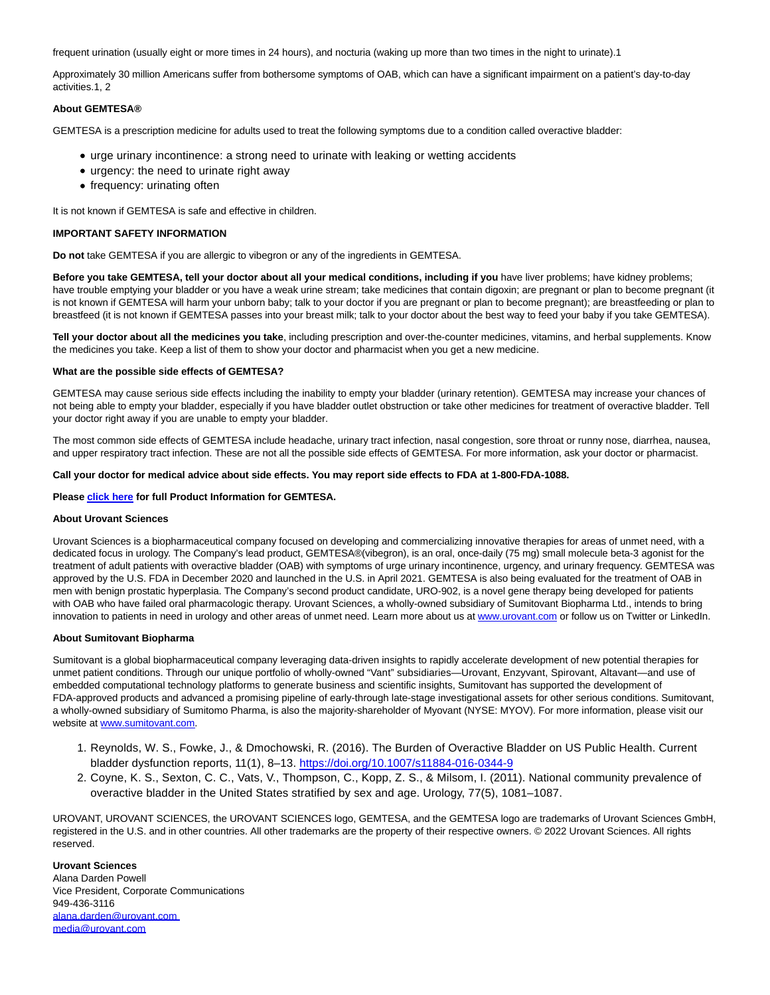frequent urination (usually eight or more times in 24 hours), and nocturia (waking up more than two times in the night to urinate).1

Approximately 30 million Americans suffer from bothersome symptoms of OAB, which can have a significant impairment on a patient's day-to-day activities.1, 2

## **About GEMTESA®**

GEMTESA is a prescription medicine for adults used to treat the following symptoms due to a condition called overactive bladder:

- urge urinary incontinence: a strong need to urinate with leaking or wetting accidents
- urgency: the need to urinate right away
- frequency: urinating often

It is not known if GEMTESA is safe and effective in children.

## **IMPORTANT SAFETY INFORMATION**

**Do not** take GEMTESA if you are allergic to vibegron or any of the ingredients in GEMTESA.

**Before you take GEMTESA, tell your doctor about all your medical conditions, including if you** have liver problems; have kidney problems; have trouble emptying your bladder or you have a weak urine stream; take medicines that contain digoxin; are pregnant or plan to become pregnant (it is not known if GEMTESA will harm your unborn baby; talk to your doctor if you are pregnant or plan to become pregnant); are breastfeeding or plan to breastfeed (it is not known if GEMTESA passes into your breast milk; talk to your doctor about the best way to feed your baby if you take GEMTESA).

**Tell your doctor about all the medicines you take**, including prescription and over-the-counter medicines, vitamins, and herbal supplements. Know the medicines you take. Keep a list of them to show your doctor and pharmacist when you get a new medicine.

### **What are the possible side effects of GEMTESA?**

GEMTESA may cause serious side effects including the inability to empty your bladder (urinary retention). GEMTESA may increase your chances of not being able to empty your bladder, especially if you have bladder outlet obstruction or take other medicines for treatment of overactive bladder. Tell your doctor right away if you are unable to empty your bladder.

The most common side effects of GEMTESA include headache, urinary tract infection, nasal congestion, sore throat or runny nose, diarrhea, nausea, and upper respiratory tract infection. These are not all the possible side effects of GEMTESA. For more information, ask your doctor or pharmacist.

#### **Call your doctor for medical advice about side effects. You may report side effects to FDA at 1-800-FDA-1088.**

#### Please **click here** for full Product Information for GEMTESA.

#### **About Urovant Sciences**

Urovant Sciences is a biopharmaceutical company focused on developing and commercializing innovative therapies for areas of unmet need, with a dedicated focus in urology. The Company's lead product, GEMTESA®(vibegron), is an oral, once-daily (75 mg) small molecule beta-3 agonist for the treatment of adult patients with overactive bladder (OAB) with symptoms of urge urinary incontinence, urgency, and urinary frequency. GEMTESA was approved by the U.S. FDA in December 2020 and launched in the U.S. in April 2021. GEMTESA is also being evaluated for the treatment of OAB in men with benign prostatic hyperplasia. The Company's second product candidate, URO-902, is a novel gene therapy being developed for patients with OAB who have failed oral pharmacologic therapy. Urovant Sciences, a wholly-owned subsidiary of Sumitovant Biopharma Ltd., intends to bring innovation to patients in need in urology and other areas of unmet need. Learn more about us a[t www.urovant.com o](https://cts.businesswire.com/ct/CT?id=smartlink&url=http%3A%2F%2Fwww.urovant.com%2F&esheet=52553625&newsitemid=20211220005599&lan=en-US&anchor=www.urovant.com&index=3&md5=72fb79bdba90da015c3ca3b21a04cd06)r follow us on Twitter or LinkedIn.

#### **About Sumitovant Biopharma**

Sumitovant is a global biopharmaceutical company leveraging data-driven insights to rapidly accelerate development of new potential therapies for unmet patient conditions. Through our unique portfolio of wholly-owned "Vant" subsidiaries—Urovant, Enzyvant, Spirovant, Altavant—and use of embedded computational technology platforms to generate business and scientific insights, Sumitovant has supported the development of FDA-approved products and advanced a promising pipeline of early-through late-stage investigational assets for other serious conditions. Sumitovant, a wholly-owned subsidiary of Sumitomo Pharma, is also the majority-shareholder of Myovant (NYSE: MYOV). For more information, please visit our website at [www.sumitovant.com.](https://cts.businesswire.com/ct/CT?id=smartlink&url=https%3A%2F%2Fprotect-us.mimecast.com%2Fs%2FkrbECrkNkASm6qGIzpiwp%3Fdomain%3Dsumitovant.com&esheet=52553625&newsitemid=20211220005599&lan=en-US&anchor=www.sumitovant.com&index=4&md5=3c4cf85ce7062ba91d01b21e003147a7)

- 1. Reynolds, W. S., Fowke, J., & Dmochowski, R. (2016). The Burden of Overactive Bladder on US Public Health. Current bladder dysfunction reports, 11(1), 8–13. [https://doi.org/10.1007/s11884-016-0344-9](https://cts.businesswire.com/ct/CT?id=smartlink&url=https%3A%2F%2Fdoi.org%2F10.1007%2Fs11884-016-0344-9&esheet=52553625&newsitemid=20211220005599&lan=en-US&anchor=https%3A%2F%2Fdoi.org%2F10.1007%2Fs11884-016-0344-9&index=9&md5=9788acf2fb5f68fe3fa59f701146a2fe)
- 2. Coyne, K. S., Sexton, C. C., Vats, V., Thompson, C., Kopp, Z. S., & Milsom, I. (2011). National community prevalence of overactive bladder in the United States stratified by sex and age. Urology, 77(5), 1081–1087.

UROVANT, UROVANT SCIENCES, the UROVANT SCIENCES logo, GEMTESA, and the GEMTESA logo are trademarks of Urovant Sciences GmbH, registered in the U.S. and in other countries. All other trademarks are the property of their respective owners. © 2022 Urovant Sciences. All rights reserved.

### **Urovant Sciences**

Alana Darden Powell Vice President, Corporate Communications 949-436-3116 [alana.darden@urovant.com](mailto:alana.darden@urovant.com%C2%A0)  [media@urovant.com](mailto:media@urovant.com%20%C2%A0)